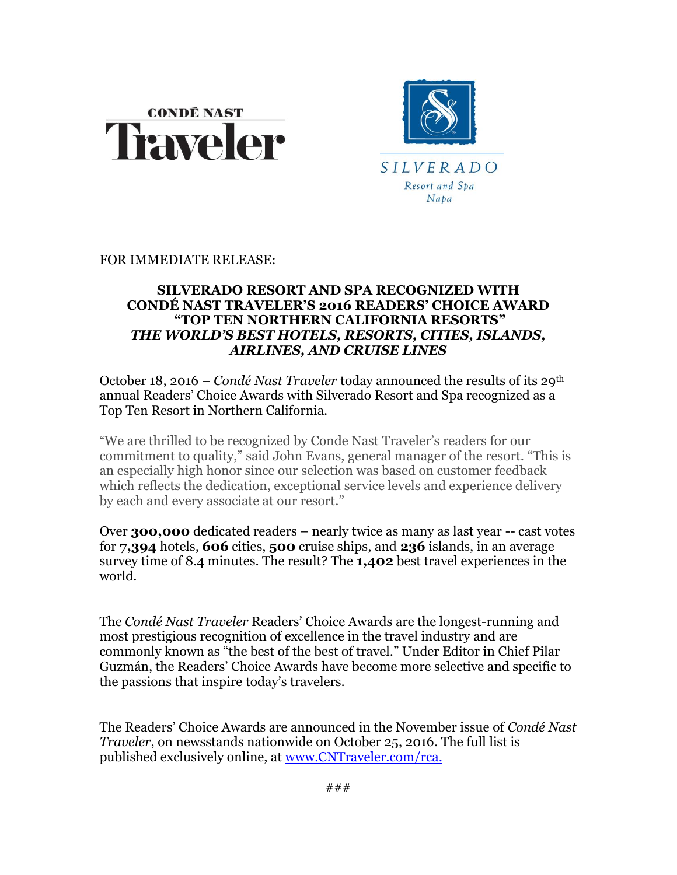



FOR IMMEDIATE RELEASE:

## **SILVERADO RESORT AND SPA RECOGNIZED WITH CONDÉ NAST TRAVELER'S 2016 READERS' CHOICE AWARD "TOP TEN NORTHERN CALIFORNIA RESORTS"** *THE WORLD'S BEST HOTELS, RESORTS, CITIES, ISLANDS, AIRLINES, AND CRUISE LINES*

October 18, 2016 – *Condé Nast Traveler* today announced the results of its 29<sup>th</sup> annual Readers' Choice Awards with Silverado Resort and Spa recognized as a Top Ten Resort in Northern California.

"We are thrilled to be recognized by Conde Nast Traveler's readers for our commitment to quality," said John Evans, general manager of the resort. "This is an especially high honor since our selection was based on customer feedback which reflects the dedication, exceptional service levels and experience delivery by each and every associate at our resort."

Over **300,000** dedicated readers – nearly twice as many as last year -- cast votes for **7,394** hotels, **606** cities, **500** cruise ships, and **236** islands, in an average survey time of 8.4 minutes. The result? The **1,402** best travel experiences in the world.

The *Condé Nast Traveler* Readers' Choice Awards are the longest-running and most prestigious recognition of excellence in the travel industry and are commonly known as "the best of the best of travel." Under Editor in Chief Pilar Guzmán, the Readers' Choice Awards have become more selective and specific to the passions that inspire today's travelers.

The Readers' Choice Awards are announced in the November issue of *Condé Nast Traveler*, on newsstands nationwide on October 25, 2016. The full list is published exclusively online, at [www.CNTraveler.com/rca.](http://www.cntraveler.com/rca)